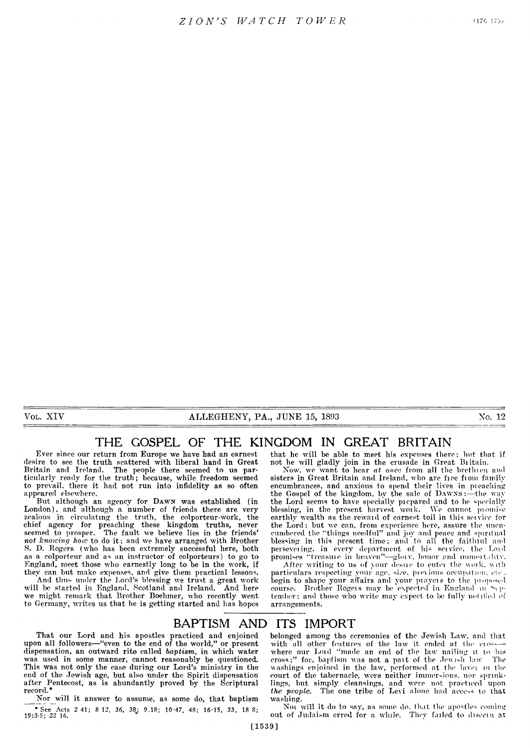VOL. XIV **ALLEGHENY, PA., JUNE 15, 1893 No. 12** 

# **THE GOSPEL OF THE KINGDOM IN GREAT BRITAIN**

Ever since our return from Europe we have had an earnest desire to see the truth scattered with liberal hand in Great Britain and Ireland. The people there seemed to us particularly ready for the truth; because, while freedom seemed to prevail, there it had not run into infidelity as so often appeared elsewhere.

But although an agency for DAWN was established (in London), and although a number of friends there are very zealous in circulating the truth, the colporteur-work, the chief agency for preaching these kingdom truths, never seemed to prosper. The fault we believe lies in the friends' *not knowing how* to do it; and we have arranged with Brother S. D. Rogers (who has been extremely successful here, both as a colporteur and as an instructor of colporteurs) to go to England, meet those who earnestly long to be in the work, if they can but make expenses, and give them practical lessons.

And thus under the Lord's blessing we trust a great work will be started in England, Scotland and Ireland. And here we might remark that Brother Boehmer, who recently went to Germany, writes us that he is getting started and has hopes

that he will be able to meet his expenses there; hut that if not he will gladly join in the crusade in Great Britain.

Now, we want to hear at once from all the brethien and sisters in Great Britain and Ireland, who are fiee fiom family encumbrances, and anxious to spend their lives in pleaching the Gospel of the kingdom, by the sale of  $\rm{Dawxs}$  :—the way the Lord seems to have specially piepated and to he specially blessing, in the present harvest woik. We cannot piomi-c earthly wealth as the rewaid of earnest toil in this seivice for the Lord: but we can, from experience here, assure the unencumbered the "things needful" and joy and peace and spiritual blessing in this present time; and to all the faithful and persevering, in every department of his service, the Lord promises "treasure in heaven"-glory, honor and immortality.

After writing to us of jour desue to entei the woik. with particulars respecting your age. si/e. pi e\ ions occupation, etc. begin to shape your affairs and your piayers to the proposed course. Brother Rogers may be expected in England m September; and those who write may expect to be fully notified of arrangements.

# **BAPTISM AND ITS IMPORT**

That our Lord and his apostles practiced and enjoined upon all followers— "even to the end of the world," or present dispensation, an outward rite called *baptism,* in which water was used in some manner, cannot reasonably be questioned. This was not only the case during our Lord's ministry in the end of the Jewish age, but also under the Spirit dispensation after Pentecost, as is abundantly proved by the Scriptural record.\*

Nor will it answer to assume, as some do, that baptism \* See Acts 2 41; 8 12, 36, 38; 9.18; 10-47, 48; 16-15, 33, 18 8; 19:3-5; 22 16. belonged among the ceremonies of the Jewish Law, and that with all other features of the law it ended at the cios— where our Loid "made an end of the law nailing it to lus cross;" for, baptism was not a pait of the Jew i-li law The washings enjoined in the law, performed at the lavei m the court of the tabernacle, were neither immersions, nor sprinklings, but simply cleansings, and were not practiced upon *the people.* The one tribe of Levi alone had access io that washing.

Not will it do to say, as some do. that the apostles coming out of Judaism erred for a while. They failed to discern at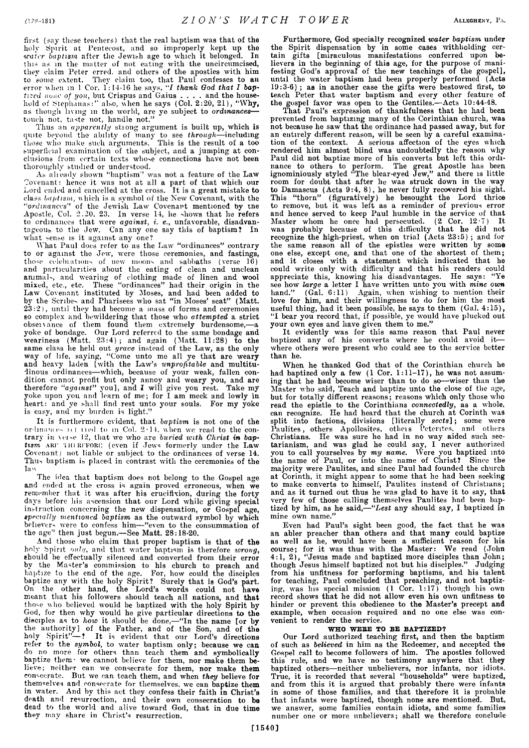first (say these teachers) that the real baptism was that of the holy Spirit at Pentecost, and so improperly kept up the *water bantism* after the Jewish age to which it belonged. In *water baptism* after the Jewish age to which it belonged. this as in the matter of not eating with the uncircumcised, they claim Peter erred, and others of the apostles with him to some extent. They claim too, that Paul confesses to an error when in 1 Cor. 1:14-16 he says, "I thank God that I bap*tized none of you*, but Crispus and Gaius .... and the household of Stephanas:" also, when he says (Col. 2:20, 21), "Why, as though living in the world, are ye subject to *ordinances* touch not, taste not, handle not."

Thus an *apparently* stiong argument is built up, which is quite beyond the ability of many to see *through*— including those who make such arguments. This is the result of a too superficial examination of the subject, and a jumping at conclusions from certain texts whose connections have not been thoroughly studied or understood.

As alieadv shown "baptism" was not a feature of the Law Covenant: hence it was not at all a part of that which our Lord ended and cancelled at the cross. It is a great mistake to class *baptism,* which is a symbol of the New Covenant, with the *" ordinances''* of the Jewish Law Covenant mentioned by tne Apostle, Col. 2.20, 23. In verse 14, he shows that he refers to ordinances that were *against, i. e.,* unfavorable, disadvantageous to the Jew. Can any one say this of baptism? In what sense is it against any one?

What Paul does refer to as the Law "ordinances" contrary to or against the Jew, were those ceremonies, and fastings, those celebiations of new moons and sabbaths (verse 16) and particularities about the eating of clean and unclean animals, and wearing of clothing made of linen and wool mixed, etc., etc. These "ordinances" had their origin in the Law Covenant instituted by Moses, and had been added to by the Scribes and Pharisees who sat "in Moses' seat" (Matt.  $23:2$ ), until they had become a mass of forms and ceremonies so complex and bewildering that those who *attempted* a strict obseivance of them found them extremely burdensome,— ${\bf a}$ yoke of bondage. Our Lord referred to the same bondage and weariness (Matt.  $23:4$ ); and again (Matt.  $11:28$ ) to the same class he held out *grace* instead of the Law, as the only way of life, saying, "Come unto me all ye that are weary and heavy laden [with the Law's *unprofitable* and multitudinous ordinances— which, because of your weak, fallen condition cannot profit but only annoy and weary you, and are therefore *"against"* you], and I will give you rest. Take my yoke upon you and learn of me; for I am meek and lowly in heart: and ye shall find rest unto your souls. For my yoke is easy, and my burden is light."

It is furthermore evident, that *baptism* is not one of the ordinances is titled to in Col. 2-14, when we read to the contrary in \ei-e 12, that we who are *buried with Christ in bap*tism ARI' THERFFORE (even if Jews formerly under the Law Covenant) not liable or subject to the ordinances of verse 14. Thu-> baptism is placed in contrast with the ceremonies of the law

The idea that baptism does not belong to the Gospel age and ended at the cross is again proved erroneous, when we remember that it was after his crucifixion, during the forty days before his ascension that our Lord while giving special instruction concerning the new dispensation, or Gospel age, *specially mentioned baptism* as the outward symbol by which believer- were to confess him— "even to the consummation of the age" then just begun.— See Matt. 28:18-20.

And those who claim that proper baptism is that of the holy Spirit *onh/,* and that water baptism is therefore *wrong,* should be effectually silenced and converted from their error by the Master's commission to his church to preach and baptize to the end of the age. For, how could the disciples baptize any with the holy Spirit? Surely that is God's part. On the other hand, the Lord's words could not have meant that his followers should teach all nations, and that tho-e who believed would be baptized with the holy Spirit by God, for then why would he give particular directions to the disciples as to *how* it should be done,— "In the name [or by the authority] of the Father, and of the Son, and of the holy Spirit"— ? It is evident that our Lord's directions refer to the *symbol,* to water baptism only; because we can do no more for others than teach them and symbolically baptize them- we cannot believe for them, nor make them believe; neither can we consecrate for them, nor make them eon-eerate. But we can teach them, and when *they* believe for themselves and consecrate for themselves, we can baptize them in water. And by this act they confess their faith in Christ's death and resurrection, and their own consecration to be dead to the world and alive toward God, that in due time they may share in Christ's resurrection.

Furthermore, God specially recognized *water baptism* under the Spirit dispensation by in some cases withholding certain gifts [miraculous manifestations conferred upon believers in the beginning of this age, for the purpose of manifesting God's approval of the new teachings of the gospel], until the water baptism had been properly performed (Acts 19:3-6) ; as in another case the gifts were bestowed first, to teach Peter that water baptism and every other feature of the gospel favor was open to the Gentiles.—Acts 10:44-48.

That Paul's expression of thankfulness that he had been prevented from baptizing many of the Corinthian church, was not because he saw that the ordinance had passed away, but for an entirely different reason, will be seen by a careful examination of the context. A serious affection of the eyes which rendered him almost blind was undoubtedly the reason why Paul did not baptize more of his converts but left this ordinance to others to perform. The great Apostle has been ignominiously styled "The blear-eyed Jew," and there is little room for doubt that after he was struck down in the way to Damascus (Acts 9:4, 8), he never fully recovered his sight. This "thorn" (figuratively) he besought the Lord thrice to remove, but it was left as a reminder of previous error and hence served to keep Paul humble in the service of that Master whom he once had persecuted. (2 Cor. 12-7) It was probably because of this difficulty that he did not recognize the high-priest, when on trial (Acts 23:5) ; and for the same reason all of the epistles were written by some one else, except one, and that one of the shortest of them; and it closes with a statement which indicated that he could write only with difficulty and that his readers could appreciate this, knowing his disadvantages. He says: "Ye see how *large* a letter I have written unto you with *mine own* hand." (Gal. 6:11) Again, when wishing to mention their love for him, and their willingness to do for him the most useful thing, had it been possible, he says to them (Gal. 4:15), "I bear you record that, if possible, ye would have plucked out your own eyes and have given them to me."

It evidently was for this same reason that Paul never baptized any of his converts where he could avoid it where others were present who could see to the service better than he.

When he thanked God that of the Corinthian church he had baptized only a few (1 Cor. 1:11-17), he was not assuming that he had become wiser than to do so— wiser than the Master who said, Teach and baptize unto the close of the age, hut for totally different reasons; reasons which only those who read the epistle to the Corinthians *connectedly,* as a whole, can recognize. He had heard that the church at Corinth was split into factions, divisions [literally sects]; some were Paulites, others Apollosites, otlieis Peterites. and others Christians. He was sure he had in no way aided such sectarianism, and was glad he could say, I never authorized you to call yourselves by *my name.* Were you baptized into the name of Paul, or into the name of Christ? Since the majority were Paulites, and since Paul had founded the church at Corinth, it might appear to some that he had been seeking to make converts to himself, Paulites instead of Christians; and as it turned out thus he was glad to have it to say, that very few of those calling themselves Paulites had been baptized by him, as he said*,— "Lest* any should say, I baptized in mine own name."

Even had Paul's sight been good, the fact that he was an abler preacher than others and that many could baptize as well as he, would have been a sufficient reason for his course; for it was thus with the Master: We read (John 4:1, 2), "Jesus made and baptized more disciples than John; though Jesus himself baptized not but his disciples." Judging from his unfitness for performing baptisms, and his talent for teaching, Paul concluded that preaching, and not baptizing, was his special mission (1 Cor. 1:17) though his own record shows that he did not allow even his own unfitness to hinder or prevent this obedience to the Master's precept and example, when occasion required and no one else was convenient to render the service.

# WHO WEBE TO BE BAPTIZED?

Our Lord authorized teaching first, and then the baptism of such as *believed* in him as the Redeemer, and accepted the Gospel call to become followers of him. The apostles followed this rule, and we have no testimony anywhere that they baptized others—neither unbelievers, nor infants, nor idiots. True, it is recorded that several "households" were baptized, and from this it is argued that probably there were infants in some of those families, and that therefore it is probable that infants were baptized, though none are mentioned. But, we answer, some families contain idiots, and some families number one or more unbelievers; shall we therefore conclude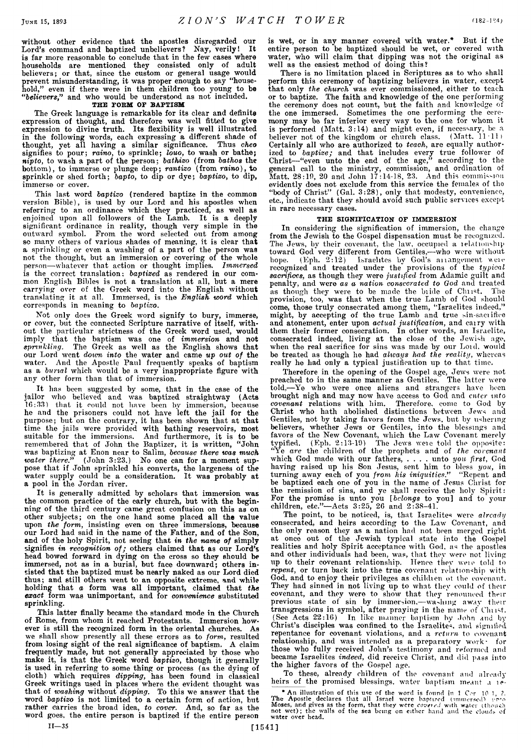without other evidence that the apostles disregarded our Lord's command and baptized unbelievers? Nay, verily! It is far more reasonable to conclude that in the few cases where households are mentioned they consisted only of adult believers; or that, since the custom or general usage would prevent misunderstanding, it was proper enough to say "household," even if there were in them children too young to be *" believers,"* and who would be understood as not included.

#### THE FORM OP BAPTISM

The Greek language is remarkable for its clear and definite expression of thought, and therefore was well fitted to give expression to divine truth. Its flexibility is well illustrated in the following words, each expressing a different shade of thought, yet all having a similar significance. Thus *cheo* signifies to pour; *raimo,* to sprinkle; *louo,* to wash or bathe; *nipto,* to wash a part of the person; *bathizo* (from *bathos* the bottom), to immerse or plunge deep; *rantizo* (from *raino),* to sprinkle or shed forth; *bapto,* to dip or dye; *baptizo,* to dip, immerse or cover.

This last word *baptizo* (rendered baptize in the common version Bible), is used by our Lord and his apostles when referring to an ordinance which they practiced, as well as enjoined upon all followers of the Lamb. It is a deeply significant ordinance in reality, though very simple in the outward symbol. From the word selected out from among so many others of various shades of meaning, it is clear that a sprinkling or even a washing of a part of the person was not the thought, but an immersion or covering of the whole person— whatever that action or thought implies. *Immersed,* is the correct translation: *baptized* as rendered in our common English Bibles is not a translation at all, but a mere carrying over of the Greek word into the English without translating it at all. Immersed, is the *English word* which corresponds in meaning to *baptizo.*

Not only does the Greek word signify to bury, immerse, or cover, but the connected Scripture narrative of itself, without the particular strictness of the Greek word used, would imply that the baptism was one of *immersion* and not *sprinkling.* The Greek as well as the English shows that our Lord went *dovm into* the water and came *up out of* the water. And the Apostle Paul frequently speaks of baptism as a *burial* which would be a very inappropriate figure with any other form than that of immersion.

It has been suggested by some, that in the case of the jailor who believed and was baptized straightway (Acts 16:33) that it could not have been by immersion, because he and the prisoners could not have left the jail for the purpose; but on the contrary, it has been shown that at that time the jails were provided with bathing reservoirs, most suitable for the immersions. And furthermore, it is to be remembered that of John the Baptizer, it is written, " John was baptizing at Enon near to Salim, *because there was much water there."* (John 3:23.) No one can for a moment suppose that if John sprinkled his converts, the largeness of the water supply could be a consideration. It was probably at a pool in the Jordan river.

It is generally admitted by scholars that immersion was the common practice of the early church, but with the beginning of the third century came great confusion on this as on other subjects; on the one hand some placed all the value upon *the form,* insisting even on three immersions, because our Lord had said in the name of the Father, and of the Son, and of the holy Spirit, not seeing that *in the name of* simply signifies *in recognition of;* others claimed that as our Lord's head bowed forward in dying on the cross so they should be immersed, not as in a burial, but face downward; others insisted that the baptized must be nearly naked as our Lord died thus; and still others went to an opposite extreme, and while holding that *a* form was all important, claimed that *the exact* form was unimportant, and for *convenience* substituted sprinkling.

This latter finally became the standard mode in the Church of Rome, from whom it reached Protestants. Immersion however is still the recognized form in the oriental churches. As we shall show presently all these errors as to *form,* resulted from losing sight of the real significance of baptism. A claim frequently made, but not generally appreciated by those who make it, is that the Greek word *baptizo,* though it generally is used in referring to some thing or process (as the dying of cloth) which requires *dipping,* has been found in classical Greek writings used in places where the evident thought was that of *washing* without *dipping.* To this we answer that the word *baptizo* is not limited to a certain form of action, but rather carries the broad idea, *to cover.* And, so far as the word goes, the entire person is baptized if the entire person

is wet, or in any manner covered with water.\* But if the entire person to be baptized should be wet, or covered with water, who will claim that dipping was not the original as well as the easiest method of doing this?

There is no limitation placed in Scriptures as to who shall perform this ceremony of baptizing believers in water, except that only *the church* was ever commissioned, either to teach or to baptize. The faith and knowledge of the one performing the ceremony does not count, but the faith and knowledge of the one immersed. Sometimes the one performing the ceremony may be far inferior every way to the one for whom it is performed (Matt. 3:14) and might even, if necessary, be a believer not of the kingdom or church class. (Matt. 11.11) Certainly all who are authorized to *teach,* are equally authorized to *baptize;* and that includes every true follower of Christ— "even unto the end of the age," according to the general call to the ministry, commission, and ordination of Matt. 28:10, 20 and John 17:14-18, 23. And this commission evidently does not exclude from this service the females of tho "body of Christ" (Gal. 3:28), only that modesty, convenience, etc., indicate that they should avoid such public services except in rare necessary cases.

### THE SIGNIFICATION OF IMMERSION

In considering the signification of immersion, the change from the Jewish to the Gospel dispensation must be recognized. The Jews, by their covenant, the law, occupied a relationship toward God very different from Gentiles,— who were without hope. (Eph. 2:12) Israelites by God's anangement weie recognized and treated under the provisions of the *typical sacrifices,* as though they were *justified* from Adamic guilt and penalty, and were *as a nation consecrated to God* and treated as though they were to be made the bride of Christ. The provision, too, was that when the true Lamb of God should come, those truly consecrated among them, "Israelites indeed," might, by accepting of the true Lamb and true sin-saciifico and atonement, enter upon *actual justification,* and cairy with them their former consecration. In other words, an Israelite, consecrated indeed, living at the close of the Jewish age, when the real sacrifice for sins was made by our Loid. would be treated as though he had *alivays had the reality,* whereas really he had only a typical justification up to that time.

Therefore in the opening of the Gospel age, Jews were not preached to in the same manner as Gentiles. The latter were told,— Ye who were once aliens and strangers have been brought nigh and may now have access to God and *enter into covenant* relations with him. Therefore, come to God by Christ who hath abolished distinctions between Jews and Gentiles, not by taking favors from the Jews, but by ushering believers, whether Jews or Gentiles, into the blessings and favors of the New Covenant, which the Law Covenant merely<br>typified. (Eph. 2:13-19) The Jews were told the opposite: typified. (Eph. 2:13-19) The Jews weie told the opposite: "Ye *are* the children of the prophets and of *the covenant* which God made with our fathers, .... unto *you first,* God having raised up his Son Jesus, sent him to bless *you,* in turning away each of you *from his iniquities."* "Repent and be baptized each one of you in the name of Jesus Christ for the remission of sins, and ye shall receive the holy Spirit: For the promise is unto you *[belongs* to you] and to your children, etc."—Acts 3:25, 20 and 2:38-41.

The point, to be noticed, is, that Israelites were *already* consecrated, and heirs according to tho Law Covenant, and the only reason they as a nation had not been merged right at once out of the Jewish typical state into the Gospel realities and holy Spirit acceptance with God, as the apostles and other individuals had been, was, that they were not living up to their covenant relationship. Hence they weie told to *repent,* or turn back into the true covenant relationship with God, and to enjoy their privileges as children ot the covenant. They had sinned in not living up to what they could of their covenant, and they were to show that they renounced their previous state of sin by immersion,— washing away thentransgressions in symbol, after praying in the name of Clmst. (See Acts 22:16) In like manner baptism by .John and by Christ's disciples was confined to the Israelites, and signified repentance for covenant violations, and a *return* to covenant relationship, and was intended as a preparatory work- for those who fully received John's testimony and reformed and became Israelites *indeed,* did receive Christ, and did pass into the higher favors of the Gospel age.

To these, already children of the covenant and already heirs of the promised blessings, water baptism meant a le-

\* An illustration of this use of the word is found in 1 Cor 10.1, 2.<br>The Apostle declares that all Israel were baptized (immersed) which<br>Moses, and gives as the form, that they were *covered* with water (though<br>not wet); t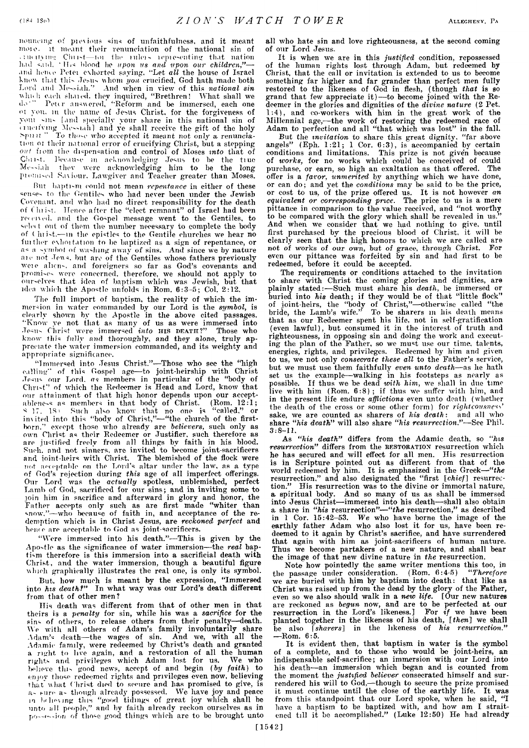nouncing of pievious sins of unfaithfulness, and it meant moio. it meant their renunciation of the national sin of , 11 n 11 y 11 p 11 n 11 control the minister of the matter of the matter of the matter of the matter of the ma<br>had said. "His blood he *upon us and upon our children*,"—and hence Peter exhorted saying. "Let all the house of Israel know that this Jesus whom *you* crucified, God hath made both Lord and Messiah." And when in view of this *national sin* which each shared, they inquired, "Brethren! What shall we do " Pour answered, "Reform and be immersed, each one ot you. in the name of Jesus Christ, for the forgiveness of youi sins [and specially your share in this national sin of eructiving Messiah] and ye shall receive the gift of the holy Spunt " To those who accepted it meant not only a renunciation or their national error of crucifying Christ, but a stepping out from the dispensation and control of Moses *into* that of Ciiii't. Because m aoknow lodging Jesus to be the tiue Me-siah they were acknowledging him to he the long promised Saviour. Lawgiver and Teacher greater than Moses.

But baptism could not mean *repentance* in either of these senses to the Gentiles who had never been under the Jewish Covenant, and who had no direct responsibility for the death of Christ. Hence after the "elect remnant" of Israel had been received, and the Gospel message went to the Gentiles, to select out of them the number necessary to complete the body of  $\ell$  hist.—in the epistles to the Gentile churches we hear no fuither exhortation to be baptized as a sign of repentance, or as a symbol of washing away of sins. And since we by nature are not Jews, but are of the Gentiles whose fathers previously weie alien', and foreigners so far as God's covenants and promises were concerned, therefore, we should not apply to ourselves that idea of baptism which was Jewish, but that idea which the Apostle unfolds in Rom. 6:3-5; Col. 2:12.

The full import of baptism, the reality of which the immersion in water commanded by our Lord is the *symbol,* is clearly shown by the Apostle in the above cited passages. " Know ye not that as many of us as were immersed into •Tesii' Christ were immersed *into* **his death?"** Those who know this fully and thoroughly, and they *alone,* truly appreciate the water immersion commanded, and its weighty and appropriate significance.

"Immersed into Jesus Christ."—Those who see the "high calling" of this Gospel age—to joint-heirship with Christ .Tpsus our Lord, *as* members in particular of the "body of Christ" of which the Redeemer is Head and Lord, know that our attainment of that high honor depends upon our acceptablene-s as members in that body of Christ. (Rom.  $12\!:\!1;$ ^ 17. IS i Such also know that no one is " called," or incited into this "body of Christ,"— "the church of the firstborn." except those who already are *believers,* such only as own Christ as their Redeemer or Justifier, such therefore as are justified freely from all things by faith in his blood. Such, and not sinners, are invited to become joint-sacrificers and joint-heirs with Christ. The blemished of the flock were not acceptable on the Lord's altar under the law, as a type of God's rejection during *this* age of all imperfect offerings. Our Lord was the *actually* spotless, unblemished, perfect Lamb of God, sacrificed for our sins; and in inviting some to loin him in sacrifice and afterward in glory and honor, the Father accepts only such as are first made "whiter than snow."—who because of faith in, and acceptance of the redemption which is in Christ Jesus, are *reckoned perfect* and hence are acceptable to God as joint-sacrificers.

"Were immersed into his death."—This is given by the Apo'tle as the significance of water immersion—the *real* baptism therefore is this immersion into a sacrificial death with Christ, and the water immersion, though a beautiful figure which graphically illustrates the real one, is only its symbol.

But, how much is meant by the expression, "Immersed into *his deathf"* In what way was our Lord's death different from that of other men ?

His death was different from that of other men in that theirs is a *penalty* for sin, while his was a *sacrifice* for the sin' of others, to release others from their penalty—death. We with all others of Adam's family involuntarily share Adam's death—the wages of sin. And we, with all the Adamic family, were redeemed by Christ's death and granted a right to live again, and a restoration of all the human right,' and privileges which Adam lost for us. We who believe tin' good news, accept of and begin *(by faith)* to enjoy those redeemed rights and privileges even now, believing that'what Christ died to secure and has promised to give, is a-  $_{\rm{FUTC}}$  a- though already possessed. We have joy and peace m hr liming this "good tidings of great joy which shall be unto all people," and by faith already reckon ourselves as in  $p$ o--e--ion of those good things which are to be brought unto

all who hate sin and love righteousness, at the second coming of our Lord Jesus.

It is when we are in this *justified* condition, repossessed of the human rights lost through Adam, but redeemed by Christ, that the call or invitation is extended to us to become something far higher and far grander than perfect men fully restored to the likeness of God in flesh, (though *that* is so grand that few appreciate it)—to become joined with the Redeemer in the glories and dignities of the *divine nature* (2 Pet. 1:4), and co-workers with him in the great work of the Millennial age,—the work of restoring the redeemed race of Adam to perfection and all "that which was lost" in the fall.

But the *invitation* to share this great dignity, "far above angels" (Eph. 1:21; 1 Cor. 6:3), is accompanied by certain conditions and limitations. This prize is not given because of works, for no works which could be conceived of could purchase, or earn, so high an exaltation as that offered. The offer is a *favor, unmerited* by anything which we have done, or can do; and yet the *conditions* may be said to be the price, or cost to us, of the prize offered us. It is not however *an equivalent or corresponding price.* The price to us is a mere pittance in comparison to the value received, and "not worthy to be compared with the glory which shall be revealed in us." And when we consider that we had nothing to give, until first purchased by the precious blood of Christ, it will be clearly seen that the high honors to which we are called are not of works of our own, but of grace, through Christ. For even our pittance was forfeited by sin and had first to be redeemed, before it could be accepted.

The requirements or conditions attached to the invitation to share with Christ the coming glories and dignities, are plainly stated:— Such must share his *death,* be immersed or buried into *his* death; if they would be of that "little flock" of joint-heirs, the "body of Christ,"—otherwise called " the bride, the Lamb's wife." To be sharers in liis death means that as our Redeemer spent his life, not in self-gratification (even lawful), but consumed it in the interest of truth and righteousness, in opposing sin and doing the work and executing the plan of the Father, so we must use our time, talents, energies, rights, and privileges. Redeemed by him and given to us, we not only *consecrate these all* to the Father's service, but we must use them faithfully *even unto death*—as he hath set us the example— walking in his footsteps as nearly as possible. If thus we be dead *with him,* we shall in due time live with him (Rom. 6:8); if thus we suffer with him, and in the present life endure *afflictions* even unto death (whether the death of the cross or some other form) for *righteousness'* sake, we are counted as sharers of *his death :* and all who share *" his death"* will also share *" his resurrection*."—See Thil. 3:8-11.

As *" his death"* differs from the Adamic death, so *"his* resurrection" differs from the RESTORATION resurrection which he has secured and will effect for all men. His resurrection is in Scripture pointed out as different from that of the world redeemed by him. It is emphasized in the Greek*— " the* resurrection." and also designated the " first *[chief]* resurrection." His resurrection was to the divine or immortal nature, a spiritual body. And so many of us as shall be immersed into Jesus Christ— immersed into his death— shall also obtain a share in "his resurrection"—"the resurrection," as described in 1 Cor. 15:42-53. *We* who have borne the image of the earthly father Adam who also lost it for us, have been redeemed to it again by Christ's sacrifice, and have surrendered that again with him as joint-sacrificers of human nature. Thus we become partakers of a new nature, and shall bear the image of that new divine nature in *the* resurrection.

Note how pointedly the same writer mentions this too, in the passage under consideration. (Rom. 6:4-5) *" Therefore* we are buried with him by baptism into death: that like as Christ was raised up from the dead by the glory of the Father, even so we also should walk in a *new life.* [Our new natures are reckoned as *begun* now, and are to be perfected at our resurrection in the Lord's likeness.] For *if* we have been planted together in the likeness of his death, *[then]* we shall be also *[sharers]* in the likeness of *his resurrection."* —Rom. 6:5.

It is evident then, that baptism in water is the symbol of a complete, and to those who would be joint-heirs, an indispensable self-sacrifice; an immersion with our Lord into his death—an immersion which began and is counted from the moment the *justified believer* consecrated himself and surrendered his will to God,—though to secure the prize promised it must continue until the close of the earthly life. It was from this standpoint that our Lord spoke, when he said, "I have a baptism to be baptized with, and how am I straitened till it be accomplished." (Luke 12:50) He had already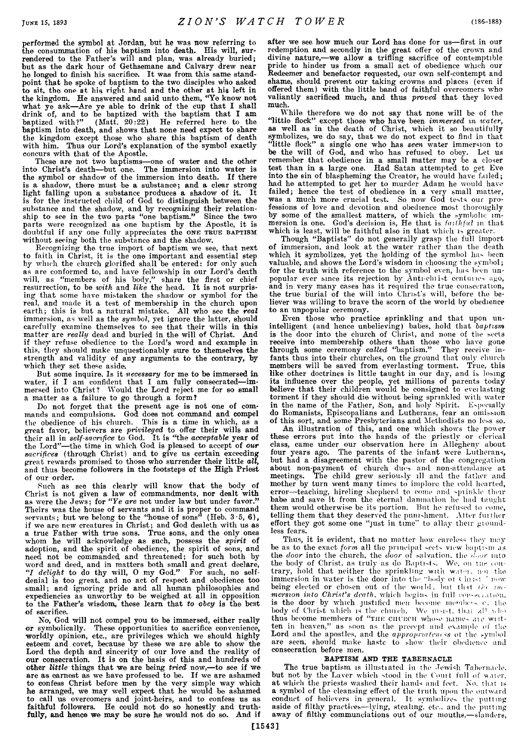performed the symbol at Jordan, but he was now referring to the consummation of his baptism into death. His will, surrendered to the Father's will and plan, was already buried; but as the dark hour of Gethsemane and Calvary drew near he longed to finish his sacrifice. It was from this same standpoint that he spoke of baptism to the two disciples who asked to sit, the one at his right hand and the other at his left in the kingdom. He answered and said unto them, " Ye know not what ye ask—Are ye able to drink of the cup that I shall drink of, and to be baptized with the baptism that I am baptized with?" (Matt. 20:22) He referred here to the baptism into death, and shows that none need expect to share the kingdom except those who share this baptism of death with him. Thus our Lord's explanation of the symbol exactly concurs with that of the Apostle.

These are not two baptisms—one of water and the other into Christ's death—but one. The immersion into water is the symbol or shadow of the immersion into death. If there is a shadow, there must be a substance; and a clear strong light falling upon a substance produces a shadow of it. It is for the instructed child of God to distinguish between the substance and the shadow, and by recognizing their relationship to see in the two parts "one baptism." Since the two parts were recognized as one baptism by the Apostle, it is doubtful if any one fully appreciates the **one true baptism** without seeing both the substance and the shadow.

Recognizing the true import of baptism we see, that next to faith in Christ, it is the one important and essential step by which the church glorified shall be entered: for only such as are conformed to, and have fellowship in our Lord's death will, as " members of his body," share the first or chief resurrection, to be *with* and *like* the head. It is not surprising that some have mistaken the shadow or symbol for the real, and made it a test of membership in the church upon earth; this is but a natural mistake. All who see the *real* immersion, as well as the *symbol,* yet ignore the latter, should carefully examine themselves to see that their wills in this matter are *really* dead and buried in the will of Christ. And if they refuse obedience to the Lord's word and example in this, they should make unquestionably sure to themselves the strength and validity of any arguments to the contrary, by which they set these aside.

But some inquire, Is it *necessary* for me to be immersed in water, if I am confident that I am fully consecrated-immersed into Christ? Would the Lord reject me for so small a matter as a failure to go through a form?

Do not forget that the present age is not one of commands and compulsions. God does not command and compel the obedience of his church. This is a time in which, as a great favor, believers are *privileged* to offer their wills and their all in *self-sacrifice* to God. It is "the *acceptable* year of the Lord"—the time in which God is pleased to accept of *our sacrifices* (through Christ) and to give us certain exceeding great rewards promised to those who surrender their little *all,* and thus become followers in the footsteps of the High Priest of our order.

Such as see this clearly will know that the body of Christ is not given a law of commandments, nor dealt with as were the Jews; for *" Ye are* not under law but under favor." Theirs was the house of servants and it is proper to command servants; but we belong to the "house of sons" (Heb.  $3\cdot 5$ , 6), if we are new creatures in Christ; and God dealeth with us as a true Father with true sons. True sons, and the only ones whom he will acknowledge as such, possess the *spirit* of adoption, and the spirit of obedience, the spirit of sons, and need not be commanded and threatened; for such both by word and deed, and in matters both small and great declare, *"I delight* to do thy will, 0 my God." For such, no selfdenial is too great, and no act of respect and obedience too small; and ignoring pride and all human philosophies and expediencies as unworthy to be weighed at all in opposition to the Father's wisdom, these learn that *to obey* is the best of sacrifice.

No, God will not compel you to be immersed, either really or symbolically. These opportunities to sacrifice convenience, worldly opinion, etc., are privileges which we should highly esteem and covet, because by these we are able to show the Lord the depth and sincerity of our love and the reality of our consecration. It is on the basis of this and hundreds of other *little* things that we are being *tried* now,—to see if we are as earnest as we have professed to be. If we are ashamed to confess Christ before men by the very simple way which he arranged, we may well expect that he would be ashamed to call us overcomers and joint-heirs, and to confess us as faithful followers. He could not do so honestly and truthfully, and hence we may be sure he would not do so. And if

after we see how much our Lord has done for us— first in our redemption and secondly in the great offer of the crown and divine nature,—we allow a trifling sacrifice of contemptible pride to hinder us from a small act of obedience which our Redeemer and benefactor requested, our own self-contempt and shame, should prevent our taking crowns and places (even if offered them) with the little band of faithful overcomers who valiantly sacrificed much, and thus *proved* that they loved much.

While therefore we do not say that none will be of the 'little flock" except those who have been *immersed in, water,* as well as in the death of Christ, which it so beautifully symbolizes, we do say, that we do not expect to find in that " little flock" a single one who has *seen* water immersion to be the will of God, and who has refused to obey. Let us remember that obedience in a small matter may be a closer test than in a large one. Had Satan attempted to get Eve into the sin of blaspheming the Creator, he would have failed; had he attempted to get her to murder Adam he would have failed; hence the test of obedience in a very small matter, was a much more crucial test. So now God tests our professions of love and devotion and obedience most thoroughly by some of the smallest matters, of which the symbolic immersion is one. God's decision is, He that is *faithful* in that which is least, will be faithful also in that which is greater.

Though "Baptists" do not generally grasp the full import of immersion, and look at the water rather than the death which it symbolizes, yet the holding of the symbol has been valuable, and shows the Lord's wisdom in choosing the symbol; for the truth with reference to the symbol even, has been unpopular ever since its rejection by Anti-elnist centimes ago, and in very many cases has it required the true consecration, the true burial of the will into Christ's will, before the believer was willing to brave the scorn of the world by obedience to an unpopular ceremony.

Even those who practice sprinkling and that upon unintelligent (and hence unbelieving) babes, hold that *baptism* is the door into the church of Christ, and none of the sects receive into membership others than those who have gone through some ceremony *called* "baptism." They receive infants thus into their churches, on the ground that only church members will be saved from everlasting torment. True, this like other doctrines is little taught in our day, and is losing its influence over the people, yet millions of parents today believe that their children would be consigned to evei lasting torment if they should die without being sprinkled with water in the name of the Father, Son, and holy Spirit. Especially do Romanists, Episcopalians and Lutherans, fear an omission of this sort, and some Presbyterians and Methodists no less so.

An illustration of this, and one which shows the power these errors put into the hands of the priestly or clerical class, came under our observation here in Allegheny about four years ago. The parents of the infant were Lutherans, but had a disagreement with the pastor of the congregation about non-payment of church dues and non-attendance at meetings. The child grew seriously ill and the father and mother by turn went many times to implore the cold hearted, error—teaching, hireling shepherd to come and sprinkle their babe and save it from the eternal damnation he had taught them would otherwise be its portion. But he refused to come, telling them that they deserved the punishment. Alter fuither effort they got some one "just in time" to allay their groundless fears.

Thus, it is evident, that no matter how careless they may be as to the exact *form* all the principal sects view baptism as the *door* into the church, the *door* of salvation, the *door* into the body of Christ, as truly as do Baptists. We, on the contrary, hold that neither the sprinkling with watm, mu the immersion in water is the door into the "body ot Christ" nowbeing elected or chosen out of the woild, imt tint *lio im-* $\emph{mersion into Christ's death},$  which begins in full consecration, is the door by which justified men become members e. the body of Christ which is the clnuch. We must, that aP who thus become members of "THE CHURCH whose names are written in heaven," as soon as the precept and example of the Lord and the apostles, and the *appropriateness* of the symbol are seen, should make haste to show their obedience and consecration before men.

## BAPTISM AND THE TABERNACLE

The true baptism is illustiated in the Jewish Tabernacle, but not by the Laver which stood in the Court full of water, at which the priests washed their hands and feet. No. that is a symbol of the cleansing effect of the truth upon the outward conduct of believers in general. It symbolizes the putting aside of filthy practices— lying, stealing, etc., and the putting away of filthy communciations out of our mouths,— slanders,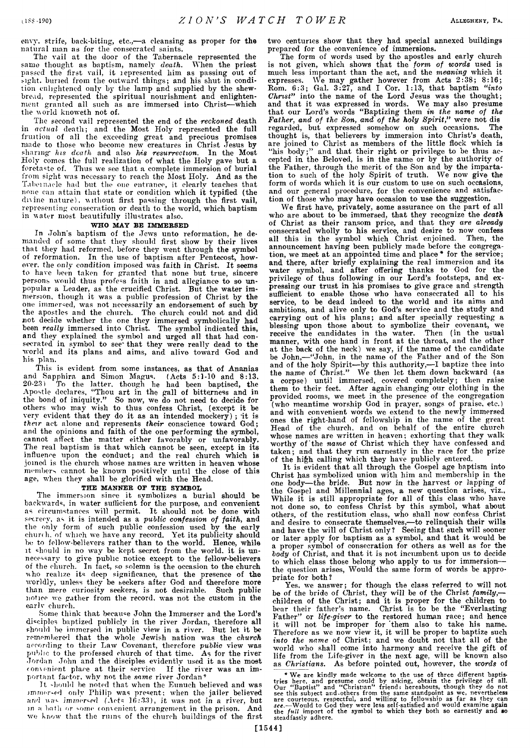envy, strife, back-biting, etc.,— a cleansing as proper for the natural man as for the consecrated saints.

The vail at the door of the Tabernacle represented the same thought as baptism, namely *death.* When the priest passed the first vail, it represented him as passing out of sight, buried from the outward things; and his shut in condition enlightened only by the lamp and supplied by the shewbread, represented the spiritual nourishment and enlightenment granted all such as are immersed into Christ— which the uorld knoweth not of.

The second vail represented the end of the *reckoned* death in *actual* death; and the Most Holy represented the full fruition of all the exceeding great and precious promises made to those who become new creatures in Christ Jesus by sharing his death and also his resurrection. In the Most Holy comes the full realization of what the Holy gave but a foretaste of. Thus we see that a complete immersion of burial from sight was necessary to reach the Most Holy. And as the Tabernacle had but the one entrance, it clearly teaches that none can attain that state or condition which it typified (the dnine nature), without first passing through the first vail, representing consecration or death to the world, which baptism in water most beautifully illustrates also.

## WHO MAY BE IMMERSED

In John's baptism of the Jews unto reformation, he demanded of some that they should first show by their lives that they had reformed, before they went through the symbol of reformation. In the use of baptism after Pentecost, however. the only condition imposed was faith in Christ. It seems to have been taken for granted that none but true, sincere persons would thus profess faith in and allegiance to so unpopular a Leader, as the crucified Christ. But the water immersion, though it was a public profession of Christ by the one immersed, was not necessarily an endorsement of such by the apostles and the church. The church could not and did not decide whether the one they immersed symbolically had been *really* immersed into Christ. The symbol indicated this, and they explained the symbol and urged all that had consecrated in symbol to see' that they were really dead to the world and its plans and aims, and alive toward God and his plan.

This is evident from some instances, as that of Ananias and Sapphira and Simon Magus. (Acts 5:1-10 and 8:13, 20-23) To the latter, though he had been baptised, the Apostle declares, " Thou art in the gall of bitterness and in the bond of iniquity." So now, we do not need to decide for others who may wish to thus confess Christ, (except it be very evident that they do it as an intended mockery); it is *their* act alone and represents *their* conscience toward God; and the opinions and faith of the one performing the symbol, cannot affect the matter either favorably or unfavorably. The real baptism is that which cannot be seen, except in its influence upon the conduct; and the real church which is joined is the church whose names are written in heaven whose members cannot be known positively until the close of this age, when they shall be glorified with the Head.

# THE MANNER OF THE SYMBOL

The immersion since it symbolizes a burial should be backwards, in water sufficient for the purpose, and convenient as circumstances will permit. It should not be done with secrecy, as it is intended as a *public confession of faith,* and the only form of such public confession used by the early church, of which we have any record. Yet its publicity should be to fellow-believers rather than to the world. Hence, while it should in no way be kept secret from the world, it is unnecessary to give public notice except to the fellow-believers of the church. In fact, so solemn is the occasion to the church who realize its deep significance, that the presence of the worldly, unless they be seekers after God and therefore more than mere curiosity seekers, is not desirable. Such public notice we gather from the record, was not the custom in the earlv church.

Some think that because John the Immerser and the Lord's disciples baptized publicly in the river Jordan, therefore all should be immersed in public view in a river. But let it be remembered that the whole Jewish nation was the *church* according to their Law Covenant, therefore *public* view was public to the professed church of that time. As for the river Jordan John and the disciples evidently used it as the most convenient place at their service. If the river was an important factor, why not the *same* river Jordan'

It should be noted that when the Eunuch believed and was jmmer-ed only Philip was present; when the jailer believed and was immersed (Acts 16:33), it was not in a river, but<br>in a bath or some convenient arrangement in the prison. And in a bath or some convenient arrangement in the prison. we know that the ruins of the church buildings of the first

two centuries show that they had special annexed buildings prepared for the convenience of immersions.

The form of words used by the apostles and early church is not given, which shows that the *form, of words* used is much less important than the act, and the *meaning* which it expresses. We may gather however from Acts 2:38; 8:16; Rom. 6:3; Gal. 3:27, and I Cor. 1:13, that baptism *"into Christ"* into the name of the Lord Jesus was the thought; and that it was expressed in words. We may also presume that our Lord's words " Baptizing them *in the name of the Father, and of the Son, and of the holy Spirit,"* were not dis regarded, but expressed somehow on such occasions. The thought is, that believers by immersion into Christ's death, are joined to Christ as members of the little flock which is "his body;" and that their right or privilege to be thus accepted in the Beloved, is in the name or by the authority of the Father, through the merit of the Son and by the impartation to such of the holy Spirit of truth. We now give the form of words which it is our custom to use on such occasions, and our general procedure, for the convenience and satisfaction of those who may have occasion to use the suggestion.

We first have, privately, some assurance on the part of all who are about to be immersed, that they recognize the *death* of Christ as their ransom price, and that they *are already* consecrated wholly to his service, and desire to now confess all this in the symbol which Christ enjoined. Then, the announcement having been publicly made before the congregation, we meet at an appointed time and place\* for the service; and there, after briefly explaining the real immersion and its water symbol, and after offering thanks to God for the privilege of thus following in our Lord's footsteps, and expressing our trust in his promises to give grace and strength sufficient to enable those who have consecrated all to his service, to be dead indeed to the world and its aims and ambitions, and alive only to God's service and the study and carrying out of his plans; and after specially requesting a blessing upon those about to symbolize their covenant, we receive the candidates in the water. Then (in the usual manner, with one hand in front at the throat, and the other at the back of the neck) we say, if the name of the candidate be John,— "John, in the name of the Father and of the Son and of the holy Spirit—by this authority,— I baptize thee into the name of Christ." We then let them down backward (as a corpse) until immersed, covered completely; then raise them to their feet. After again changing our clothing in the provided rooms, we meet in the presence of the congregation (who meantime worship God in prayer, songs of praise, etc.) and with convenient words we extend to the newly immersed ones the right-hand of fellowship in the name of the great Head of the church, and on behalf of the entire church whose names are written in heaven; exhorting that they walk worthy of the *name* of Christ which they have confessed and taken; and that they run earnestly in the race for the prize of the hi£h calling which they have publicly entered.

It is evident that all through the Gospel age baptism into Christ has symbolized union with him and membership in the one body—the bride. But now in the harvest or lapping of the Gospel and Millennial ages, a new question arises, viz., While it is still appropriate for all of this class who have not done so, to confess Christ by this symbol, what about others, of the restitution class, who shall now confess Christ and desire to consecrate themselves,— to relinquish their wills and have the will of Christ only ? Seeing that such will sooner or later apply for baptism as a symbol, and that it would be a proper symbol of consecration for others as well as for the *body* of Christ, and that it is not incumbent upon us to decide to which class those belong who apply to us for immersion the question arises, Would the same form of words be appropriate for both?

Yes, we answer; for though the class referred to will not be of the bride of Christ, they will be of the Christ *family*, children of the Christ; and it is proper for the children to bear their father's name. Christ is to be the "Everlasting Father" or *life-giver* to the restored human race; and hence it will not be improper for "them also to take his name. Therefore as we now view it, it will be proper to baptize such *into the name* of Christ; and we doubt not that all of the world who shall come into harmony and receive the gift of life from the Life-giver in the next age, will be known also as *Christians.* As before pointed out, however, the *words* of

\* We are kindly made welcome to the use of three different baptis-<br>tries here, and presume could by asking, obtain the privilege of all.<br>Our "Baptist" and "Christian" friend; hereabouts, though they do not<br>see this subjec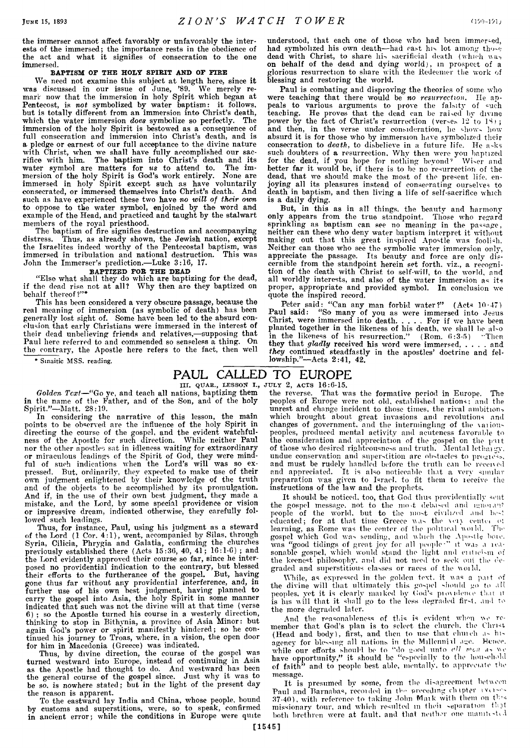the immerser cannot affect favorably or unfavorably the interests of the immersed; the importance rests in the obedience of the act and what it signifies of consecration to the one immersed.

### BAPTISM OF THE HOLY SPIRIT AND OF FIRE

We need not examine this subject at length here, since it was discussed in our issue of June, '89. We merely remark now that the immersion in holy Spirit which began at Pentecost, is *not* symbolized by water baptism: it follows, but is totally different from an immersion into Christ's death,<br>which the water immersion *does* symbolize so perfectly. The which the water immersion *does* symbolize so perfectly. immersion of the holy Spirit is bestowed as a consequence of full consecration and immersion into Christ's death, and is a pledge or earnest of our full acceptance to the divine nature with Christ, when we shall have fully accomplished our sacrifice with him. The baptism into Christ's death and its water symbol are matters for *us* to attend to. The immersion of the holy Spirit is God's work entirely. None are immersed in holy Spirit except such as have voluntarily consecrated, or immersed themselves into Christ's death. And such as have experienced these two have *no will of their own* to oppose to the water symbol, enjoined by the word and example of the Head, and practiced and taught by the stalwart members of the royal priesthood.

The baptism of fire signifies destruction and accompanying<br>distress. Thus, as already shown, the Jewish nation, except Thus, as already shown, the Jewish nation, except the Israelites indeed worthy of the Pentecostal baptism, was immersed in tribulation and national destruction. This was immersed in tribulation and national destruction. John the Immerser's prediction.—Luke 3:16, 17.

### BAPTIZED FOR THE DEAD

" Else what shall they do which are baptizing for the dead, if the dead rise not at all? Why then are they baptized on behalf thereof?"\*

This has been considered a very obscure passage, because the real meaning of immersion (as symbolic of death) has been generally lost sight of. Some have been led to the absurd conclusion that early Christians were immersed in the interest of their dead unbelieving friends and relatives,—supposing that Paul here referred to and commended so senseless a thing. On the contrary, the Apostle here refers to the fact, then well

\* Sinaitic MSS. reading.

understood, that each one of those who had been immer-ed, had symbolized his own death—had cast his lot among tho-e dead with Christ, to share his sacrificial death (which waon behalf of the dead and dying world), in prospect of a glorious resurrection to share with the Redeemer the work of blessing and restoring the world.

Paul is combating and disproving the theories of some who were teaching that there would be no resurrection. He appeals to various arguments to prove the falsity of =uch teaching. He proves that the dead can be raised by divine power by the fact of Christ's resurrection (verses 12 to 18); and then, in the verse under consideration, he shows how absurd it is for those who by immersion have symbolized their consecration to *death,* to disbelieve in a future life. He a-ks such doubters of a resurrection. Why then were you baptized for the dead, if you hope for nothing beyond' Wi-er and better far it would be, if there is to be no resurrection of the dead, that we should make the most of the present life, enjoying all its pleasures instead of consecrating ourselves to death in baptism, and then living a life of self-sacrifice which is a daily dying.

But, in this as in all things, the beauty and harmony only appears from the true standpoint. Those who regard sprinkling as baptism can see no meaning in the passage, neither can these who deny water baptism interpret it without making out that this great inspired Apostle was foolish. Neither can those who see the symbolic water immersion only, appreciate the passage. Its beauty and force are only discernible from the standpoint herein set forth, viz., a recognition of the death with Christ to self-will, to the world, and all worldly interests, and also of the water immersion as its proper, appropriate and provided symbol. In conclusion we quote the inspired record.

Peter said: " Can any man forbid water?" (Acts 10-47) Paul said: " So many of you as were immersed into Jesus Christ, were immersed into death...... For if we have bee planted together in the likeness of his death, we shall be al-o in the likeness of his resurrection." (Rom. 6:3-5) "Then they that *gladly* received his word were immersed, .... and *they* continued steadfastly in the apostles' doctrine and fellowship."—Acts 2:41, 42.

# **PAUL CALLED TO EUROPE**

III. QUAR., LESSON I., JULY 2, ACTS 16:6-15.

*Golden Text*—" Go ye, and teach all nations, baptizing them in the name of the Father, and of the Son, and of the holy Spirit."—Matt. 28:19.

In considering the narrative of this lesson, the main points to be observed are the influence of the holy Spirit in directing the course of the gospel, and the evident watchfulness of the Apostle for such direction. While neither Paul nor the other apostles sat in idleness waiting for extraordinary or miraculous leadings of the Spirit of God, they were mindful of such indications when the Lord's will was so expressed. But, ordinarily, they expected to make use of their own judgment enlightened by their knowledge of the truth and of the objects to be accomplished by its promulgation. And if, in the use of their own best judgment, they made a mistake, and the Lord, by some special providence or vision or impressive dream, indicated otherwise, they carefully followed such leadings.

Thus, for instance, Paul, using his judgment as a steward of the Lord (1 Cor. 4:1), went, accompanied by Silas, through Syria, Cilicia, Phrygia and Galatia, confirming the churches previously established there (Acts 15:36, 40, 41; 16:1-6) *;* and the Lord evidently approved their course so far, since he interposed no providential indication to the contrary, but blessed their efforts to the furtherance of the gospel. But, having gone thus far without any providential interference, and, in further use of his own best judgment, having planned to carry the gospel into Asia, the holy Spirit in some manner indicated that such was not the divine will at that time (verse 6) ; so the Apostle turned his course in a westerly direction, thinking to stop in Bithynia, a province of Asia Minor: but again God's power or spirit manifestly hindered; so he continued his journey to Troas, where, in a vision, the open door for him in Macedonia (Greece) was indicated.

Thus, by divine direction, the course of the gospel was turned westward into Europe, instead of continuing in Asia as the Apostle had thought to do. And westward has been the general course of the gospel since. Just why it was to be so. is nowhere stated; but in the light of the present day the reason is apparent.

To the eastward lay India and China, whose people, bound by customs and superstitions, were, so to speak, confirmed in ancient error; while the conditions in Europe were quite

the reverse. That was the formative period in Europe. The peoples of Europe were not old. established nations; and the unrest and change incident to those times, the rival ambition, which brought about great invasions and revolutions and changes of government, and the intermingling of the varioupeoples, produced mental activity and acuteness favorable to the consideration and appreciation of the gospel on the put of those who desired righteousness and truth. Mental lethaigy. undue conservation and superstition arc obstacles to progress. and must be rudely handled before the truth can be received and appreciated. It is also noticeable that a very similar preparation was given to Israel, to fit them to leceive the

instructions of the law and the prophets.<br>It should be noticed, too, that God thus providentially sent It should be noticed, too, that God thus providentially sent the gospel message, not to the most debased and ignorant people of the world, but to the most civilized and be-t educated; for at that time Greece was the very center of learning, as Rome was the center of the political world. The gospel which God was sending, and which the Apostle boic. was "good tidings of great joy for all people<sup>.</sup>" it was a reasonable gospel, which would stand the light and entic'-m of the keenest philosophy, and did not need to seek out the degraded and superstitious classes or races of the woild.

While, as expressed in the golden text, it was a part of the divine will that ultimately this go-pel should go to all peoples, yet it is clearly maiked by (bid's pioxideiue that it is his will that it shall go to the less degraded fir-t. and to the more degraded later.

And the reasonableness of this is evident when we remember that God's plan is to select the church, the Christ (Head and body), first, and then to use that chinch a- hiagency for blessing all nations in the Millenniil age.. Hence, while our efforts should be to "do good unto *ell men* as we have opportunity," it should be "especially to the household of faith" and to people best able, mentally, to appreciate the message.

It is presumed bv some, from the disagreement between Paul and Barnabas, recoided in the preceding chapter iverses 37-40), with reference to taking John Mark with them on this missionary tour, and which resulted in their separation that both brethren were at fault, and that neither one manifested